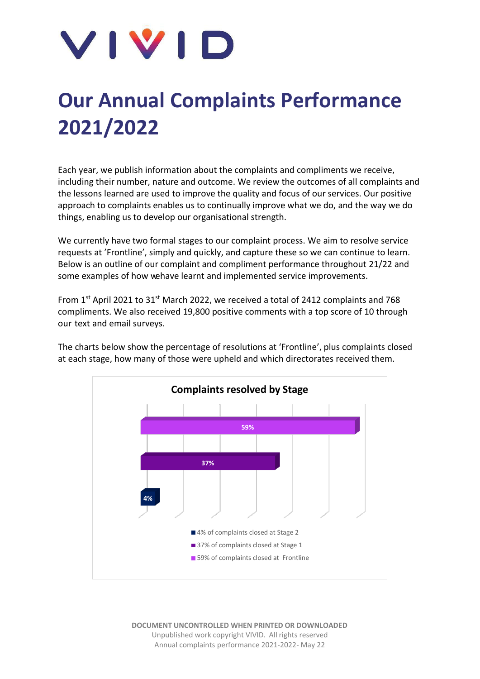

## **Our Annual Complaints Performance 2021/2022**

Each year, we publish information about the complaints and compliments we receive, including their number, nature and outcome. We review the outcomes of all complaints and the lessons learned are used to improve the quality and focus of our services. Our positive approach to complaints enables us to continually improve what we do, and the way we do things, enabling us to develop our organisational strength.

We currently have two formal stages to our complaint process. We aim to resolve service requests at 'Frontline', simply and quickly, and capture these so we can continue to learn. Below is an outline of our complaint and compliment performance throughout 21/22 and some examples of how wehave learnt and implemented service improvements.

From 1st April 2021 to  $31^{st}$  March 2022, we received a total of 2412 complaints and 768 compliments. We also received 19,800 positive comments with a top score of 10 through our text and email surveys.

The charts below show the percentage of resolutions at 'Frontline', plus complaints closed at each stage, how many of those were upheld and which directorates received them.

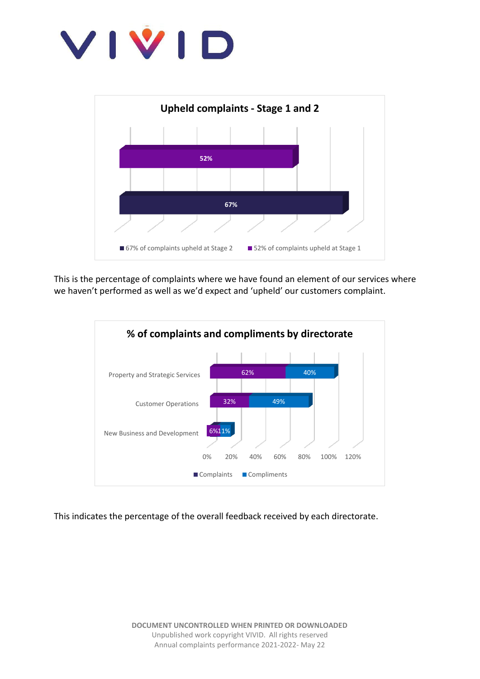



This is the percentage of complaints where we have found an element of our services where we haven't performed as well as we'd expect and 'upheld' our customers complaint.



This indicates the percentage of the overall feedback received by each directorate.

**DOCUMENT UNCONTROLLED WHEN PRINTED OR DOWNLOADED** Unpublished work copyright VIVID. All rights reserved Annual complaints performance 2021-2022- May 22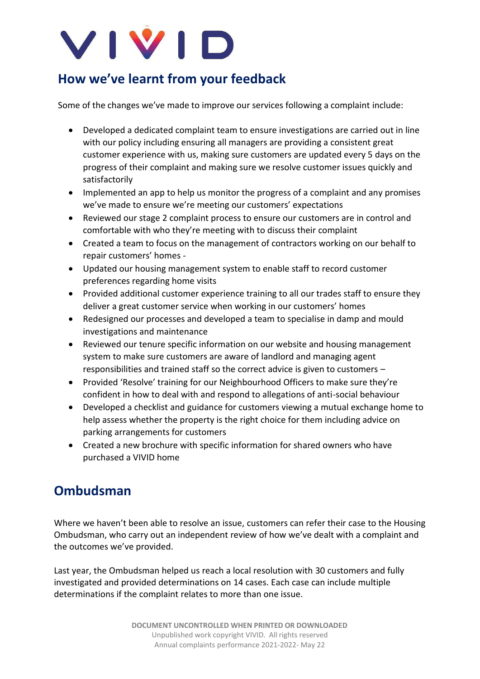

## **How we've learnt from your feedback**

Some of the changes we've made to improve our services following a complaint include:

- Developed a dedicated complaint team to ensure investigations are carried out in line with our policy including ensuring all managers are providing a consistent great customer experience with us, making sure customers are updated every 5 days on the progress of their complaint and making sure we resolve customer issues quickly and satisfactorily
- Implemented an app to help us monitor the progress of a complaint and any promises we've made to ensure we're meeting our customers' expectations
- Reviewed our stage 2 complaint process to ensure our customers are in control and comfortable with who they're meeting with to discuss their complaint
- Created a team to focus on the management of contractors working on our behalf to repair customers' homes -
- Updated our housing management system to enable staff to record customer preferences regarding home visits
- Provided additional customer experience training to all our trades staff to ensure they deliver a great customer service when working in our customers' homes
- Redesigned our processes and developed a team to specialise in damp and mould investigations and maintenance
- Reviewed our tenure specific information on our website and housing management system to make sure customers are aware of landlord and managing agent responsibilities and trained staff so the correct advice is given to customers –
- Provided 'Resolve' training for our Neighbourhood Officers to make sure they're confident in how to deal with and respond to allegations of anti-social behaviour
- Developed a checklist and guidance for customers viewing a mutual exchange home to help assess whether the property is the right choice for them including advice on parking arrangements for customers
- Created a new brochure with specific information for shared owners who have purchased a VIVID home

## **Ombudsman**

Where we haven't been able to resolve an issue, customers can refer their case to the Housing Ombudsman, who carry out an independent review of how we've dealt with a complaint and the outcomes we've provided.

Last year, the Ombudsman helped us reach a local resolution with 30 customers and fully investigated and provided determinations on 14 cases. Each case can include multiple determinations if the complaint relates to more than one issue.